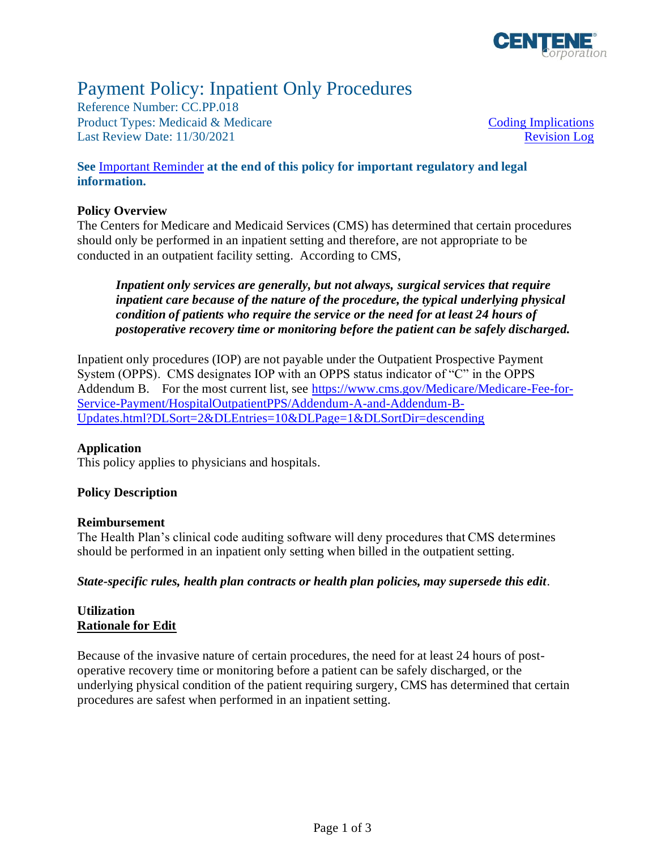

# Payment Policy: Inpatient Only Procedures

Reference Number: CC.PP.018 Product Types: Medicaid & Medicare [Coding Implications](#page-1-0) Last Review Date: 11/30/2021 [Revision Log](#page-1-1)

### **See** [Important Reminder](#page-1-2) **at the end of this policy for important regulatory and legal information.**

### **Policy Overview**

The Centers for Medicare and Medicaid Services (CMS) has determined that certain procedures should only be performed in an inpatient setting and therefore, are not appropriate to be conducted in an outpatient facility setting. According to CMS,

*Inpatient only services are generally, but not always, surgical services that require inpatient care because of the nature of the procedure, the typical underlying physical condition of patients who require the service or the need for at least 24 hours of postoperative recovery time or monitoring before the patient can be safely discharged.*

Inpatient only procedures (IOP) are not payable under the Outpatient Prospective Payment System (OPPS). CMS designates IOP with an OPPS status indicator of "C" in the OPPS Addendum B. For the most current list, see [https://www.cms.gov/Medicare/Medicare-Fee-for-](https://www.cms.gov/Medicare/Medicare-Fee-for-Service-Payment/HospitalOutpatientPPS/Addendum-A-and-Addendum-B-Updates.html?DLSort=2&DLEntries=10&DLPage=1&DLSortDir=descending)[Service-Payment/HospitalOutpatientPPS/Addendum-A-and-Addendum-B-](https://www.cms.gov/Medicare/Medicare-Fee-for-Service-Payment/HospitalOutpatientPPS/Addendum-A-and-Addendum-B-Updates.html?DLSort=2&DLEntries=10&DLPage=1&DLSortDir=descending)[Updates.html?DLSort=2&DLEntries=10&DLPage=1&DLSortDir=descending](https://www.cms.gov/Medicare/Medicare-Fee-for-Service-Payment/HospitalOutpatientPPS/Addendum-A-and-Addendum-B-Updates.html?DLSort=2&DLEntries=10&DLPage=1&DLSortDir=descending)

### **Application**

This policy applies to physicians and hospitals.

### **Policy Description**

### **Reimbursement**

The Health Plan's clinical code auditing software will deny procedures that CMS determines should be performed in an inpatient only setting when billed in the outpatient setting.

*State-specific rules, health plan contracts or health plan policies, may supersede this edit.*

### **Utilization Rationale for Edit**

Because of the invasive nature of certain procedures, the need for at least 24 hours of postoperative recovery time or monitoring before a patient can be safely discharged, or the underlying physical condition of the patient requiring surgery, CMS has determined that certain procedures are safest when performed in an inpatient setting.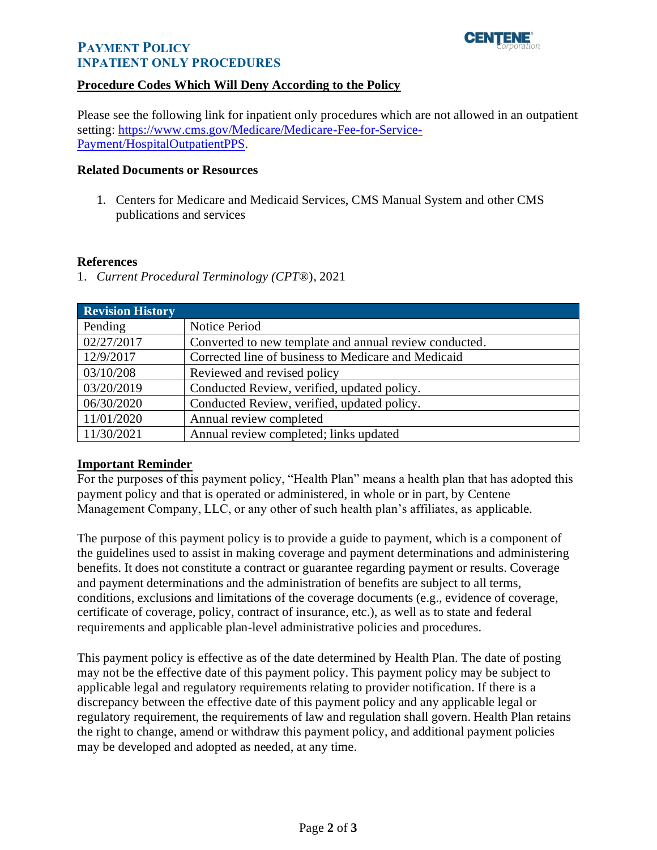

## **PAYMENT POLICY INPATIENT ONLY PROCEDURES**

### <span id="page-1-0"></span>**Procedure Codes Which Will Deny According to the Policy**

Please see the following link for inpatient only procedures which are not allowed in an outpatient setting: [https://www.cms.gov/Medicare/Medicare-Fee-for-Service-](https://www.cms.gov/Medicare/Medicare-Fee-for-Service-Payment/HospitalOutpatientPPS)[Payment/HospitalOutpatientPPS.](https://www.cms.gov/Medicare/Medicare-Fee-for-Service-Payment/HospitalOutpatientPPS)

#### **Related Documents or Resources**

1. Centers for Medicare and Medicaid Services, CMS Manual System and other CMS publications and services

#### **References**

1. *Current Procedural Terminology (CPT*®), 2021

<span id="page-1-1"></span>

| <b>Revision History</b> |                                                        |
|-------------------------|--------------------------------------------------------|
| Pending                 | <b>Notice Period</b>                                   |
| 02/27/2017              | Converted to new template and annual review conducted. |
| 12/9/2017               | Corrected line of business to Medicare and Medicaid    |
| 03/10/208               | Reviewed and revised policy                            |
| 03/20/2019              | Conducted Review, verified, updated policy.            |
| 06/30/2020              | Conducted Review, verified, updated policy.            |
| 11/01/2020              | Annual review completed                                |
| 11/30/2021              | Annual review completed; links updated                 |

### <span id="page-1-2"></span>**Important Reminder**

For the purposes of this payment policy, "Health Plan" means a health plan that has adopted this payment policy and that is operated or administered, in whole or in part, by Centene Management Company, LLC, or any other of such health plan's affiliates, as applicable.

The purpose of this payment policy is to provide a guide to payment, which is a component of the guidelines used to assist in making coverage and payment determinations and administering benefits. It does not constitute a contract or guarantee regarding payment or results. Coverage and payment determinations and the administration of benefits are subject to all terms, conditions, exclusions and limitations of the coverage documents (e.g., evidence of coverage, certificate of coverage, policy, contract of insurance, etc.), as well as to state and federal requirements and applicable plan-level administrative policies and procedures.

This payment policy is effective as of the date determined by Health Plan. The date of posting may not be the effective date of this payment policy. This payment policy may be subject to applicable legal and regulatory requirements relating to provider notification. If there is a discrepancy between the effective date of this payment policy and any applicable legal or regulatory requirement, the requirements of law and regulation shall govern. Health Plan retains the right to change, amend or withdraw this payment policy, and additional payment policies may be developed and adopted as needed, at any time.